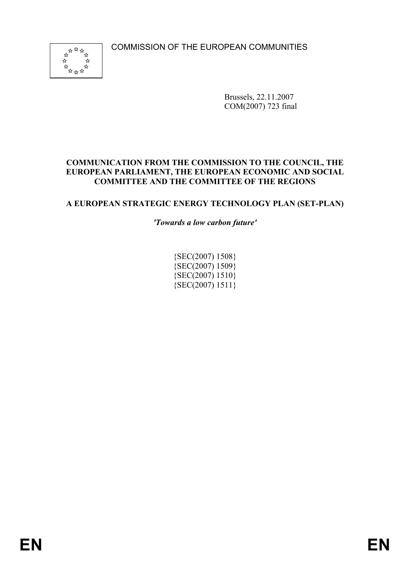COMMISSION OF THE EUROPEAN COMMUNITIES



Brussels, 22.11.2007 COM(2007) 723 final

#### **COMMUNICATION FROM THE COMMISSION TO THE COUNCIL, THE EUROPEAN PARLIAMENT, THE EUROPEAN ECONOMIC AND SOCIAL COMMITTEE AND THE COMMITTEE OF THE REGIONS**

### **A EUROPEAN STRATEGIC ENERGY TECHNOLOGY PLAN (SET-PLAN)**

*'Towards a low carbon future'* 

{SEC(2007) 1508}  ${SEC(2007) 1509}$  ${SEC(2007) 1510}$  ${ \{ \text{SEC}(2007) 1511 } \}$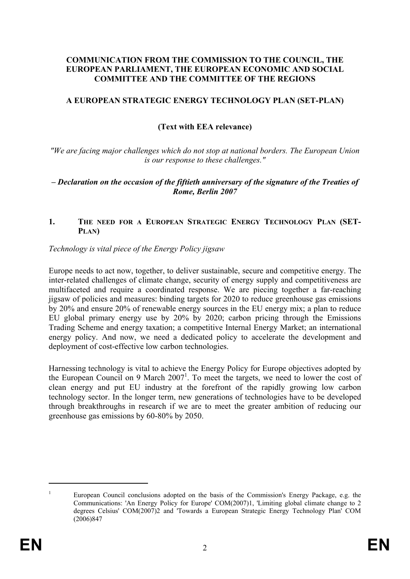#### **COMMUNICATION FROM THE COMMISSION TO THE COUNCIL, THE EUROPEAN PARLIAMENT, THE EUROPEAN ECONOMIC AND SOCIAL COMMITTEE AND THE COMMITTEE OF THE REGIONS**

#### **A EUROPEAN STRATEGIC ENERGY TECHNOLOGY PLAN (SET-PLAN)**

### **(Text with EEA relevance)**

*"We are facing major challenges which do not stop at national borders. The European Union is our response to these challenges."* 

#### *– Declaration on the occasion of the fiftieth anniversary of the signature of the Treaties of Rome, Berlin 2007*

#### 1. THE NEED FOR A EUROPEAN STRATEGIC ENERGY TECHNOLOGY PLAN (SET-**PLAN)**

#### *Technology is vital piece of the Energy Policy jigsaw*

Europe needs to act now, together, to deliver sustainable, secure and competitive energy. The inter-related challenges of climate change, security of energy supply and competitiveness are multifaceted and require a coordinated response. We are piecing together a far-reaching jigsaw of policies and measures: binding targets for 2020 to reduce greenhouse gas emissions by 20% and ensure 20% of renewable energy sources in the EU energy mix; a plan to reduce EU global primary energy use by 20% by 2020; carbon pricing through the Emissions Trading Scheme and energy taxation; a competitive Internal Energy Market; an international energy policy. And now, we need a dedicated policy to accelerate the development and deployment of cost-effective low carbon technologies.

Harnessing technology is vital to achieve the Energy Policy for Europe objectives adopted by the European Council on 9 March  $2007<sup>1</sup>$ . To meet the targets, we need to lower the cost of clean energy and put EU industry at the forefront of the rapidly growing low carbon technology sector. In the longer term, new generations of technologies have to be developed through breakthroughs in research if we are to meet the greater ambition of reducing our greenhouse gas emissions by 60-80% by 2050.

<sup>1</sup> European Council conclusions adopted on the basis of the Commission's Energy Package, e.g. the Communications: 'An Energy Policy for Europe' COM(2007)1, 'Limiting global climate change to 2 degrees Celsius' COM(2007)2 and 'Towards a European Strategic Energy Technology Plan' COM (2006)847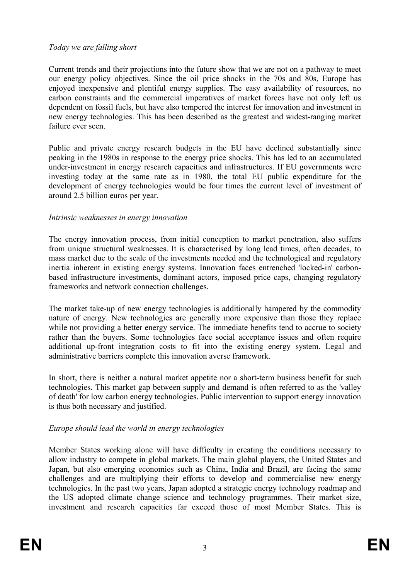#### *Today we are falling short*

Current trends and their projections into the future show that we are not on a pathway to meet our energy policy objectives. Since the oil price shocks in the 70s and 80s, Europe has enjoyed inexpensive and plentiful energy supplies. The easy availability of resources, no carbon constraints and the commercial imperatives of market forces have not only left us dependent on fossil fuels, but have also tempered the interest for innovation and investment in new energy technologies. This has been described as the greatest and widest-ranging market failure ever seen.

Public and private energy research budgets in the EU have declined substantially since peaking in the 1980s in response to the energy price shocks. This has led to an accumulated under-investment in energy research capacities and infrastructures. If EU governments were investing today at the same rate as in 1980, the total EU public expenditure for the development of energy technologies would be four times the current level of investment of around 2.5 billion euros per year.

### *Intrinsic weaknesses in energy innovation*

The energy innovation process, from initial conception to market penetration, also suffers from unique structural weaknesses. It is characterised by long lead times, often decades, to mass market due to the scale of the investments needed and the technological and regulatory inertia inherent in existing energy systems. Innovation faces entrenched 'locked-in' carbonbased infrastructure investments, dominant actors, imposed price caps, changing regulatory frameworks and network connection challenges.

The market take-up of new energy technologies is additionally hampered by the commodity nature of energy. New technologies are generally more expensive than those they replace while not providing a better energy service. The immediate benefits tend to accrue to society rather than the buyers. Some technologies face social acceptance issues and often require additional up-front integration costs to fit into the existing energy system. Legal and administrative barriers complete this innovation averse framework.

In short, there is neither a natural market appetite nor a short-term business benefit for such technologies. This market gap between supply and demand is often referred to as the 'valley of death' for low carbon energy technologies. Public intervention to support energy innovation is thus both necessary and justified.

### *Europe should lead the world in energy technologies*

Member States working alone will have difficulty in creating the conditions necessary to allow industry to compete in global markets. The main global players, the United States and Japan, but also emerging economies such as China, India and Brazil, are facing the same challenges and are multiplying their efforts to develop and commercialise new energy technologies. In the past two years, Japan adopted a strategic energy technology roadmap and the US adopted climate change science and technology programmes. Their market size, investment and research capacities far exceed those of most Member States. This is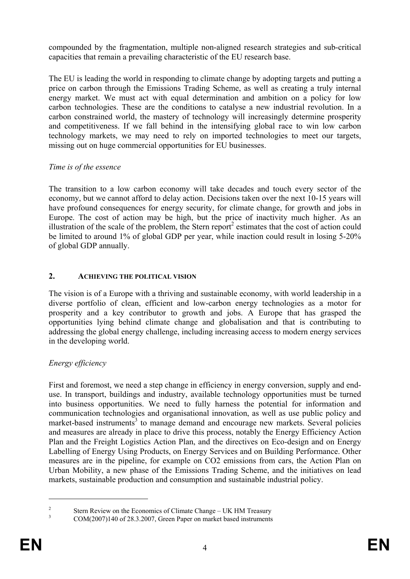compounded by the fragmentation, multiple non-aligned research strategies and sub-critical capacities that remain a prevailing characteristic of the EU research base.

The EU is leading the world in responding to climate change by adopting targets and putting a price on carbon through the Emissions Trading Scheme, as well as creating a truly internal energy market. We must act with equal determination and ambition on a policy for low carbon technologies. These are the conditions to catalyse a new industrial revolution. In a carbon constrained world, the mastery of technology will increasingly determine prosperity and competitiveness. If we fall behind in the intensifying global race to win low carbon technology markets, we may need to rely on imported technologies to meet our targets, missing out on huge commercial opportunities for EU businesses.

### *Time is of the essence*

The transition to a low carbon economy will take decades and touch every sector of the economy, but we cannot afford to delay action. Decisions taken over the next 10-15 years will have profound consequences for energy security, for climate change, for growth and jobs in Europe. The cost of action may be high, but the price of inactivity much higher. As an illustration of the scale of the problem, the Stern report<sup>2</sup> estimates that the cost of action could be limited to around 1% of global GDP per year, while inaction could result in losing 5-20% of global GDP annually.

## **2. ACHIEVING THE POLITICAL VISION**

The vision is of a Europe with a thriving and sustainable economy, with world leadership in a diverse portfolio of clean, efficient and low-carbon energy technologies as a motor for prosperity and a key contributor to growth and jobs. A Europe that has grasped the opportunities lying behind climate change and globalisation and that is contributing to addressing the global energy challenge, including increasing access to modern energy services in the developing world.

# *Energy efficiency*

First and foremost, we need a step change in efficiency in energy conversion, supply and enduse. In transport, buildings and industry, available technology opportunities must be turned into business opportunities. We need to fully harness the potential for information and communication technologies and organisational innovation, as well as use public policy and market-based instruments<sup>3</sup> to manage demand and encourage new markets. Several policies and measures are already in place to drive this process, notably the Energy Efficiency Action Plan and the Freight Logistics Action Plan, and the directives on Eco-design and on Energy Labelling of Energy Using Products, on Energy Services and on Building Performance. Other measures are in the pipeline, for example on CO2 emissions from cars, the Action Plan on Urban Mobility, a new phase of the Emissions Trading Scheme, and the initiatives on lead markets, sustainable production and consumption and sustainable industrial policy.

 $\overline{2}$ <sup>2</sup><br>Stern Review on the Economics of Climate Change – UK HM Treasury<br> $\frac{3}{2}$  (COM/2007)140 of 28.2.2007. Grass Repay on mortal hand instruments

COM(2007)140 of 28.3.2007, Green Paper on market based instruments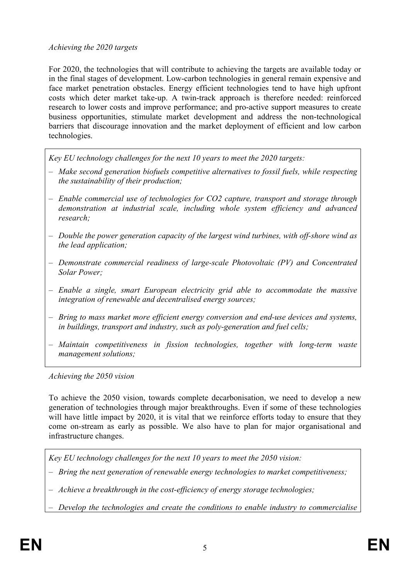#### *Achieving the 2020 targets*

For 2020, the technologies that will contribute to achieving the targets are available today or in the final stages of development. Low-carbon technologies in general remain expensive and face market penetration obstacles. Energy efficient technologies tend to have high upfront costs which deter market take-up. A twin-track approach is therefore needed: reinforced research to lower costs and improve performance; and pro-active support measures to create business opportunities, stimulate market development and address the non-technological barriers that discourage innovation and the market deployment of efficient and low carbon technologies.

*Key EU technology challenges for the next 10 years to meet the 2020 targets:* 

- *Make second generation biofuels competitive alternatives to fossil fuels, while respecting the sustainability of their production;*
- *Enable commercial use of technologies for CO2 capture, transport and storage through demonstration at industrial scale, including whole system efficiency and advanced research;*
- *Double the power generation capacity of the largest wind turbines, with off-shore wind as the lead application;*
- *Demonstrate commercial readiness of large-scale Photovoltaic (PV) and Concentrated Solar Power;*
- *Enable a single, smart European electricity grid able to accommodate the massive integration of renewable and decentralised energy sources;*
- *Bring to mass market more efficient energy conversion and end-use devices and systems, in buildings, transport and industry, such as poly-generation and fuel cells;*
- *Maintain competitiveness in fission technologies, together with long-term waste management solutions;*

*Achieving the 2050 vision* 

To achieve the 2050 vision, towards complete decarbonisation, we need to develop a new generation of technologies through major breakthroughs. Even if some of these technologies will have little impact by 2020, it is vital that we reinforce efforts today to ensure that they come on-stream as early as possible. We also have to plan for major organisational and infrastructure changes.

*Key EU technology challenges for the next 10 years to meet the 2050 vision:* 

– *Bring the next generation of renewable energy technologies to market competitiveness;* 

– *Achieve a breakthrough in the cost-efficiency of energy storage technologies;* 

– *Develop the technologies and create the conditions to enable industry to commercialise*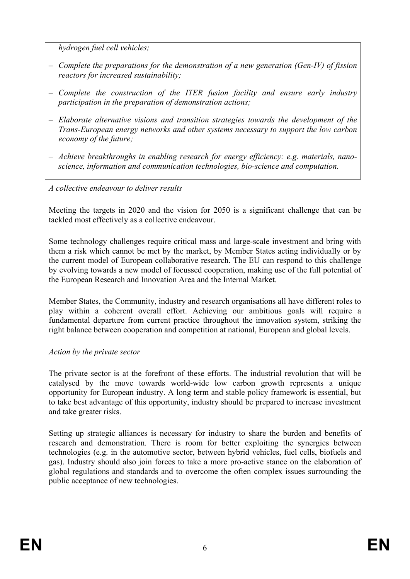*hydrogen fuel cell vehicles;* 

- *Complete the preparations for the demonstration of a new generation (Gen-IV) of fission reactors for increased sustainability;*
- *Complete the construction of the ITER fusion facility and ensure early industry participation in the preparation of demonstration actions;*
- *Elaborate alternative visions and transition strategies towards the development of the Trans-European energy networks and other systems necessary to support the low carbon economy of the future;*
- *Achieve breakthroughs in enabling research for energy efficiency: e.g. materials, nanoscience, information and communication technologies, bio-science and computation.*

## *A collective endeavour to deliver results*

Meeting the targets in 2020 and the vision for 2050 is a significant challenge that can be tackled most effectively as a collective endeavour.

Some technology challenges require critical mass and large-scale investment and bring with them a risk which cannot be met by the market, by Member States acting individually or by the current model of European collaborative research. The EU can respond to this challenge by evolving towards a new model of focussed cooperation, making use of the full potential of the European Research and Innovation Area and the Internal Market.

Member States, the Community, industry and research organisations all have different roles to play within a coherent overall effort. Achieving our ambitious goals will require a fundamental departure from current practice throughout the innovation system, striking the right balance between cooperation and competition at national, European and global levels.

### *Action by the private sector*

The private sector is at the forefront of these efforts. The industrial revolution that will be catalysed by the move towards world-wide low carbon growth represents a unique opportunity for European industry. A long term and stable policy framework is essential, but to take best advantage of this opportunity, industry should be prepared to increase investment and take greater risks.

Setting up strategic alliances is necessary for industry to share the burden and benefits of research and demonstration. There is room for better exploiting the synergies between technologies (e.g. in the automotive sector, between hybrid vehicles, fuel cells, biofuels and gas). Industry should also join forces to take a more pro-active stance on the elaboration of global regulations and standards and to overcome the often complex issues surrounding the public acceptance of new technologies.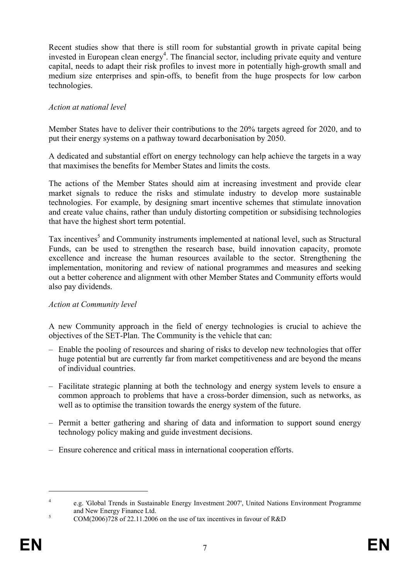Recent studies show that there is still room for substantial growth in private capital being invested in European clean energy<sup>4</sup>. The financial sector, including private equity and venture capital, needs to adapt their risk profiles to invest more in potentially high-growth small and medium size enterprises and spin-offs, to benefit from the huge prospects for low carbon technologies.

## *Action at national level*

Member States have to deliver their contributions to the 20% targets agreed for 2020, and to put their energy systems on a pathway toward decarbonisation by 2050.

A dedicated and substantial effort on energy technology can help achieve the targets in a way that maximises the benefits for Member States and limits the costs.

The actions of the Member States should aim at increasing investment and provide clear market signals to reduce the risks and stimulate industry to develop more sustainable technologies. For example, by designing smart incentive schemes that stimulate innovation and create value chains, rather than unduly distorting competition or subsidising technologies that have the highest short term potential.

Tax incentives<sup>5</sup> and Community instruments implemented at national level, such as Structural Funds, can be used to strengthen the research base, build innovation capacity, promote excellence and increase the human resources available to the sector. Strengthening the implementation, monitoring and review of national programmes and measures and seeking out a better coherence and alignment with other Member States and Community efforts would also pay dividends.

### *Action at Community level*

A new Community approach in the field of energy technologies is crucial to achieve the objectives of the SET-Plan. The Community is the vehicle that can:

- Enable the pooling of resources and sharing of risks to develop new technologies that offer huge potential but are currently far from market competitiveness and are beyond the means of individual countries.
- Facilitate strategic planning at both the technology and energy system levels to ensure a common approach to problems that have a cross-border dimension, such as networks, as well as to optimise the transition towards the energy system of the future.
- Permit a better gathering and sharing of data and information to support sound energy technology policy making and guide investment decisions.
- Ensure coherence and critical mass in international cooperation efforts.

<u>.</u>

<sup>4</sup> e.g. 'Global Trends in Sustainable Energy Investment 2007', United Nations Environment Programme and New Energy Finance Ltd.<br>
SOM(2006)728 s f 22.11.2006

COM(2006)728 of 22.11.2006 on the use of tax incentives in favour of R&D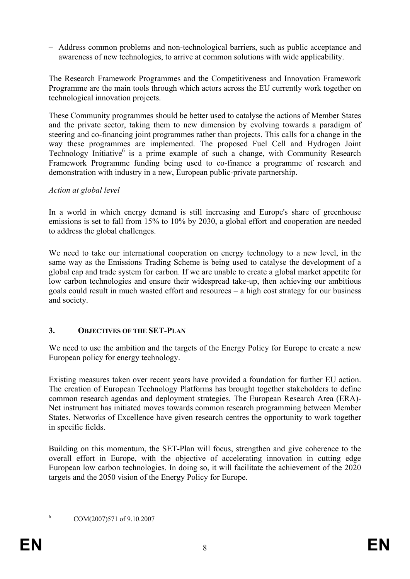– Address common problems and non-technological barriers, such as public acceptance and awareness of new technologies, to arrive at common solutions with wide applicability.

The Research Framework Programmes and the Competitiveness and Innovation Framework Programme are the main tools through which actors across the EU currently work together on technological innovation projects.

These Community programmes should be better used to catalyse the actions of Member States and the private sector, taking them to new dimension by evolving towards a paradigm of steering and co-financing joint programmes rather than projects. This calls for a change in the way these programmes are implemented. The proposed Fuel Cell and Hydrogen Joint Technology Initiative<sup>6</sup> is a prime example of such a change, with Community Research Framework Programme funding being used to co-finance a programme of research and demonstration with industry in a new, European public-private partnership.

### *Action at global level*

In a world in which energy demand is still increasing and Europe's share of greenhouse emissions is set to fall from 15% to 10% by 2030, a global effort and cooperation are needed to address the global challenges.

We need to take our international cooperation on energy technology to a new level, in the same way as the Emissions Trading Scheme is being used to catalyse the development of a global cap and trade system for carbon. If we are unable to create a global market appetite for low carbon technologies and ensure their widespread take-up, then achieving our ambitious goals could result in much wasted effort and resources – a high cost strategy for our business and society.

### **3. OBJECTIVES OF THE SET-PLAN**

We need to use the ambition and the targets of the Energy Policy for Europe to create a new European policy for energy technology.

Existing measures taken over recent years have provided a foundation for further EU action. The creation of European Technology Platforms has brought together stakeholders to define common research agendas and deployment strategies. The European Research Area (ERA)- Net instrument has initiated moves towards common research programming between Member States. Networks of Excellence have given research centres the opportunity to work together in specific fields.

Building on this momentum, the SET-Plan will focus, strengthen and give coherence to the overall effort in Europe, with the objective of accelerating innovation in cutting edge European low carbon technologies. In doing so, it will facilitate the achievement of the 2020 targets and the 2050 vision of the Energy Policy for Europe.

<sup>1</sup> 6

COM(2007)571 of 9.10.2007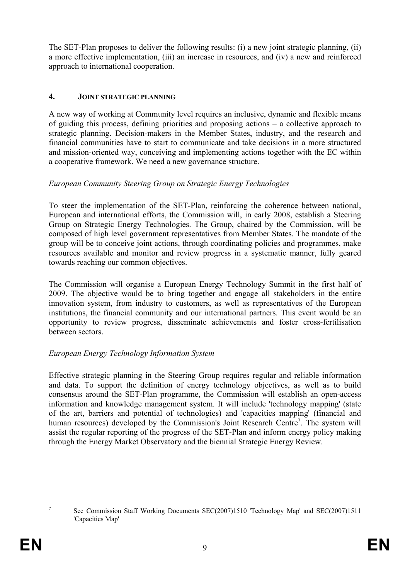The SET-Plan proposes to deliver the following results: (i) a new joint strategic planning, (ii) a more effective implementation, (iii) an increase in resources, and (iv) a new and reinforced approach to international cooperation.

## **4. JOINT STRATEGIC PLANNING**

A new way of working at Community level requires an inclusive, dynamic and flexible means of guiding this process, defining priorities and proposing actions – a collective approach to strategic planning. Decision-makers in the Member States, industry, and the research and financial communities have to start to communicate and take decisions in a more structured and mission-oriented way, conceiving and implementing actions together with the EC within a cooperative framework. We need a new governance structure.

## *European Community Steering Group on Strategic Energy Technologies*

To steer the implementation of the SET-Plan, reinforcing the coherence between national, European and international efforts, the Commission will, in early 2008, establish a Steering Group on Strategic Energy Technologies. The Group, chaired by the Commission, will be composed of high level government representatives from Member States. The mandate of the group will be to conceive joint actions, through coordinating policies and programmes, make resources available and monitor and review progress in a systematic manner, fully geared towards reaching our common objectives.

The Commission will organise a European Energy Technology Summit in the first half of 2009. The objective would be to bring together and engage all stakeholders in the entire innovation system, from industry to customers, as well as representatives of the European institutions, the financial community and our international partners. This event would be an opportunity to review progress, disseminate achievements and foster cross-fertilisation between sectors.

# *European Energy Technology Information System*

Effective strategic planning in the Steering Group requires regular and reliable information and data. To support the definition of energy technology objectives, as well as to build consensus around the SET-Plan programme, the Commission will establish an open-access information and knowledge management system. It will include 'technology mapping' (state of the art, barriers and potential of technologies) and 'capacities mapping' (financial and human resources) developed by the Commission's Joint Research Centre<sup>7</sup>. The system will assist the regular reporting of the progress of the SET-Plan and inform energy policy making through the Energy Market Observatory and the biennial Strategic Energy Review.

<sup>&</sup>lt;sup>7</sup> See Commission Staff Working Documents SEC(2007)1510 'Technology Map' and SEC(2007)1511 'Capacities Map'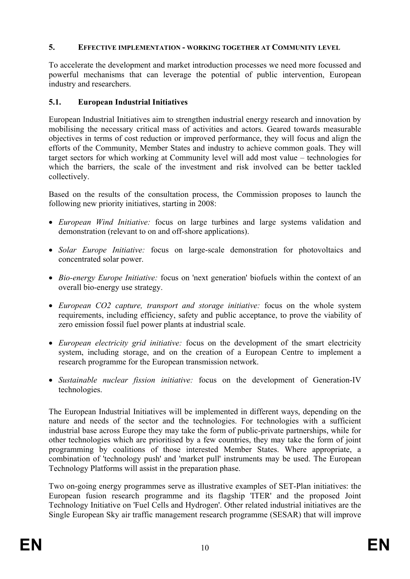### **5. EFFECTIVE IMPLEMENTATION - WORKING TOGETHER AT COMMUNITY LEVEL**

To accelerate the development and market introduction processes we need more focussed and powerful mechanisms that can leverage the potential of public intervention, European industry and researchers.

## **5.1. European Industrial Initiatives**

European Industrial Initiatives aim to strengthen industrial energy research and innovation by mobilising the necessary critical mass of activities and actors. Geared towards measurable objectives in terms of cost reduction or improved performance, they will focus and align the efforts of the Community, Member States and industry to achieve common goals. They will target sectors for which working at Community level will add most value – technologies for which the barriers, the scale of the investment and risk involved can be better tackled collectively.

Based on the results of the consultation process, the Commission proposes to launch the following new priority initiatives, starting in 2008:

- *European Wind Initiative:* focus on large turbines and large systems validation and demonstration (relevant to on and off-shore applications).
- *Solar Europe Initiative:* focus on large-scale demonstration for photovoltaics and concentrated solar power.
- *Bio-energy Europe Initiative:* focus on 'next generation' biofuels within the context of an overall bio-energy use strategy.
- *European CO2 capture, transport and storage initiative:* focus on the whole system requirements, including efficiency, safety and public acceptance, to prove the viability of zero emission fossil fuel power plants at industrial scale.
- *European electricity grid initiative:* focus on the development of the smart electricity system, including storage, and on the creation of a European Centre to implement a research programme for the European transmission network.
- *Sustainable nuclear fission initiative:* focus on the development of Generation-IV technologies.

The European Industrial Initiatives will be implemented in different ways, depending on the nature and needs of the sector and the technologies. For technologies with a sufficient industrial base across Europe they may take the form of public-private partnerships, while for other technologies which are prioritised by a few countries, they may take the form of joint programming by coalitions of those interested Member States. Where appropriate, a combination of 'technology push' and 'market pull' instruments may be used. The European Technology Platforms will assist in the preparation phase.

Two on-going energy programmes serve as illustrative examples of SET-Plan initiatives: the European fusion research programme and its flagship 'ITER' and the proposed Joint Technology Initiative on 'Fuel Cells and Hydrogen'. Other related industrial initiatives are the Single European Sky air traffic management research programme (SESAR) that will improve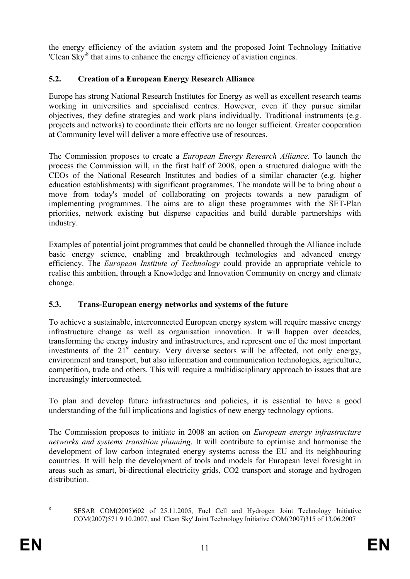the energy efficiency of the aviation system and the proposed Joint Technology Initiative 'Clean Sky<sup>8</sup> that aims to enhance the energy efficiency of aviation engines.

## **5.2. Creation of a European Energy Research Alliance**

Europe has strong National Research Institutes for Energy as well as excellent research teams working in universities and specialised centres. However, even if they pursue similar objectives, they define strategies and work plans individually. Traditional instruments (e.g. projects and networks) to coordinate their efforts are no longer sufficient. Greater cooperation at Community level will deliver a more effective use of resources.

The Commission proposes to create a *European Energy Research Alliance*. To launch the process the Commission will, in the first half of 2008, open a structured dialogue with the CEOs of the National Research Institutes and bodies of a similar character (e.g. higher education establishments) with significant programmes. The mandate will be to bring about a move from today's model of collaborating on projects towards a new paradigm of implementing programmes. The aims are to align these programmes with the SET-Plan priorities, network existing but disperse capacities and build durable partnerships with industry.

Examples of potential joint programmes that could be channelled through the Alliance include basic energy science, enabling and breakthrough technologies and advanced energy efficiency. The *European Institute of Technology* could provide an appropriate vehicle to realise this ambition, through a Knowledge and Innovation Community on energy and climate change.

# **5.3. Trans-European energy networks and systems of the future**

To achieve a sustainable, interconnected European energy system will require massive energy infrastructure change as well as organisation innovation. It will happen over decades, transforming the energy industry and infrastructures, and represent one of the most important investments of the  $21<sup>st</sup>$  century. Very diverse sectors will be affected, not only energy, environment and transport, but also information and communication technologies, agriculture, competition, trade and others. This will require a multidisciplinary approach to issues that are increasingly interconnected.

To plan and develop future infrastructures and policies, it is essential to have a good understanding of the full implications and logistics of new energy technology options.

The Commission proposes to initiate in 2008 an action on *European energy infrastructure networks and systems transition planning*. It will contribute to optimise and harmonise the development of low carbon integrated energy systems across the EU and its neighbouring countries. It will help the development of tools and models for European level foresight in areas such as smart, bi-directional electricity grids, CO2 transport and storage and hydrogen distribution.

SESAR COM(2005)602 of 25.11.2005, Fuel Cell and Hydrogen Joint Technology Initiative COM(2007)571 9.10.2007, and 'Clean Sky' Joint Technology Initiative COM(2007)315 of 13.06.2007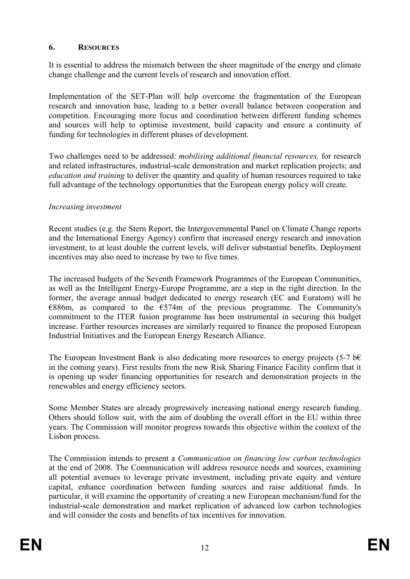### **6. RESOURCES**

It is essential to address the mismatch between the sheer magnitude of the energy and climate change challenge and the current levels of research and innovation effort.

Implementation of the SET-Plan will help overcome the fragmentation of the European research and innovation base, leading to a better overall balance between cooperation and competition. Encouraging more focus and coordination between different funding schemes and sources will help to optimise investment, build capacity and ensure a continuity of funding for technologies in different phases of development.

Two challenges need to be addressed: *mobilising additional financial resources,* for research and related infrastructures, industrial-scale demonstration and market replication projects; and *education and training* to deliver the quantity and quality of human resources required to take full advantage of the technology opportunities that the European energy policy will create*.* 

### *Increasing investment*

Recent studies (e.g. the Stern Report, the Intergovernmental Panel on Climate Change reports and the International Energy Agency) confirm that increased energy research and innovation investment, to at least double the current levels, will deliver substantial benefits. Deployment incentives may also need to increase by two to five times.

The increased budgets of the Seventh Framework Programmes of the European Communities, as well as the Intelligent Energy-Europe Programme, are a step in the right direction. In the former, the average annual budget dedicated to energy research (EC and Euratom) will be  $E886m$ , as compared to the  $E574m$  of the previous programme. The Community's commitment to the ITER fusion programme has been instrumental in securing this budget increase. Further resources increases are similarly required to finance the proposed European Industrial Initiatives and the European Energy Research Alliance.

The European Investment Bank is also dedicating more resources to energy projects (5-7 b€) in the coming years). First results from the new Risk Sharing Finance Facility confirm that it is opening up wider financing opportunities for research and demonstration projects in the renewables and energy efficiency sectors.

Some Member States are already progressively increasing national energy research funding. Others should follow suit, with the aim of doubling the overall effort in the EU within three years. The Commission will monitor progress towards this objective within the context of the Lisbon process.

The Commission intends to present a *Communication on financing low carbon technologies* at the end of 2008. The Communication will address resource needs and sources, examining all potential avenues to leverage private investment, including private equity and venture capital, enhance coordination between funding sources and raise additional funds. In particular, it will examine the opportunity of creating a new European mechanism/fund for the industrial-scale demonstration and market replication of advanced low carbon technologies and will consider the costs and benefits of tax incentives for innovation.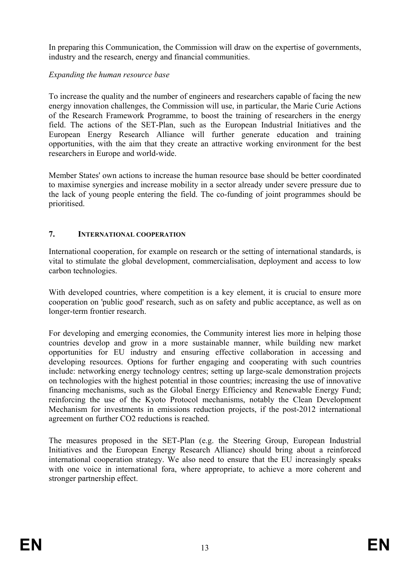In preparing this Communication, the Commission will draw on the expertise of governments, industry and the research, energy and financial communities.

### *Expanding the human resource base*

To increase the quality and the number of engineers and researchers capable of facing the new energy innovation challenges, the Commission will use, in particular, the Marie Curie Actions of the Research Framework Programme, to boost the training of researchers in the energy field. The actions of the SET-Plan, such as the European Industrial Initiatives and the European Energy Research Alliance will further generate education and training opportunities, with the aim that they create an attractive working environment for the best researchers in Europe and world-wide.

Member States' own actions to increase the human resource base should be better coordinated to maximise synergies and increase mobility in a sector already under severe pressure due to the lack of young people entering the field. The co-funding of joint programmes should be prioritised.

# **7. INTERNATIONAL COOPERATION**

International cooperation, for example on research or the setting of international standards, is vital to stimulate the global development, commercialisation, deployment and access to low carbon technologies.

With developed countries, where competition is a key element, it is crucial to ensure more cooperation on 'public good' research, such as on safety and public acceptance, as well as on longer-term frontier research.

For developing and emerging economies, the Community interest lies more in helping those countries develop and grow in a more sustainable manner, while building new market opportunities for EU industry and ensuring effective collaboration in accessing and developing resources. Options for further engaging and cooperating with such countries include: networking energy technology centres; setting up large-scale demonstration projects on technologies with the highest potential in those countries; increasing the use of innovative financing mechanisms, such as the Global Energy Efficiency and Renewable Energy Fund; reinforcing the use of the Kyoto Protocol mechanisms, notably the Clean Development Mechanism for investments in emissions reduction projects, if the post-2012 international agreement on further CO2 reductions is reached.

The measures proposed in the SET-Plan (e.g. the Steering Group, European Industrial Initiatives and the European Energy Research Alliance) should bring about a reinforced international cooperation strategy. We also need to ensure that the EU increasingly speaks with one voice in international fora, where appropriate, to achieve a more coherent and stronger partnership effect.